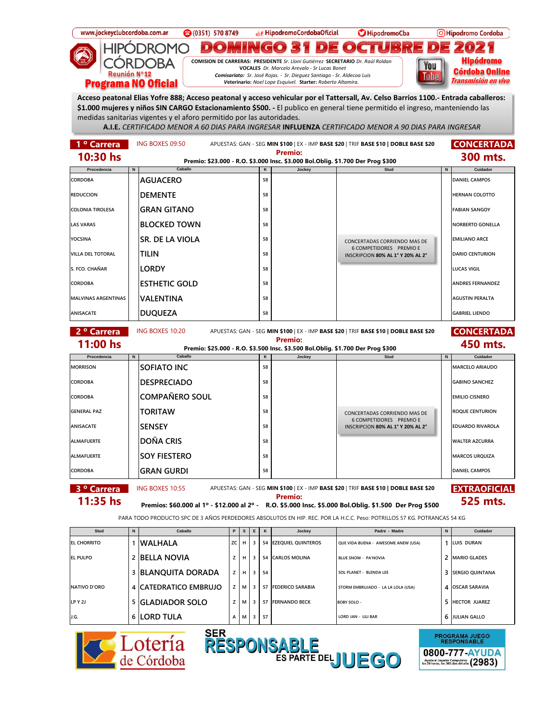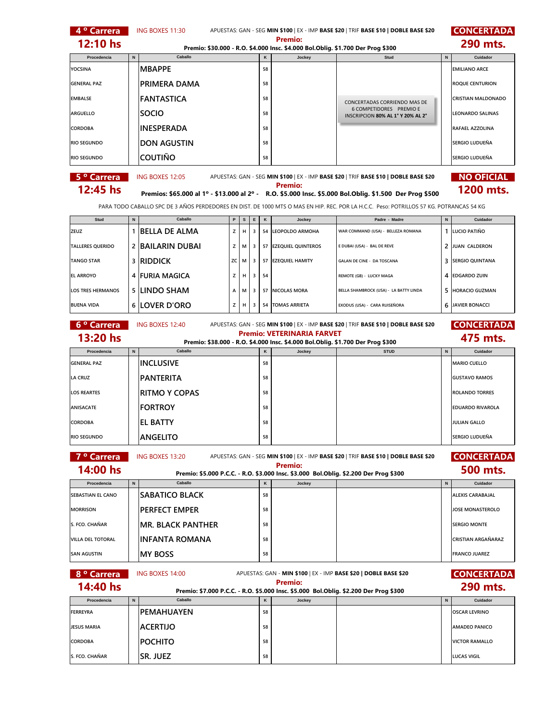| 4 <sup>°</sup> Carrera                                                                                                                                  |             | ING BOXES 11:30          |    |        |        |    |                                                                                                                      | APUESTAS: GAN - SEG MIN \$100   EX - IMP BASE \$20   TRIF BASE \$10   DOBLE BASE \$20                                                                                                                                                              |                | <b>CONCERTADA</b>          |
|---------------------------------------------------------------------------------------------------------------------------------------------------------|-------------|--------------------------|----|--------|--------|----|----------------------------------------------------------------------------------------------------------------------|----------------------------------------------------------------------------------------------------------------------------------------------------------------------------------------------------------------------------------------------------|----------------|----------------------------|
| 12:10 hs                                                                                                                                                |             |                          |    |        |        |    | <b>Premio:</b><br>Premio: \$30.000 - R.O. \$4.000 Insc. \$4.000 Bol.Oblig. \$1.700 Der Prog \$300                    |                                                                                                                                                                                                                                                    |                | 290 mts.                   |
| Procedencia                                                                                                                                             | $\mathsf N$ | Caballo                  |    |        |        | Κ  | Jockey                                                                                                               | <b>Stud</b>                                                                                                                                                                                                                                        | $\hbox{\bf N}$ | Cuidador                   |
| <b>YOCSINA</b>                                                                                                                                          |             | <b>MBAPPE</b>            |    |        |        | 58 |                                                                                                                      |                                                                                                                                                                                                                                                    |                | <b>EMILIANO ARCE</b>       |
| <b>GENERAL PAZ</b>                                                                                                                                      |             | PRIMERA DAMA             |    |        |        | 58 |                                                                                                                      |                                                                                                                                                                                                                                                    |                | <b>ROQUE CENTURION</b>     |
| <b>EMBALSE</b>                                                                                                                                          |             | <b>FANTASTICA</b>        |    |        |        | 58 |                                                                                                                      | CONCERTADAS CORRIENDO MAS DE                                                                                                                                                                                                                       |                | <b>CRISTIAN MALDONADO</b>  |
| <b>ARGUELLO</b>                                                                                                                                         |             | <b>SOCIO</b>             |    |        |        | 58 |                                                                                                                      | 6 COMPETIDORES PREMIO E<br>INSCRIPCION 80% AL 1° Y 20% AL 2°                                                                                                                                                                                       |                | <b>LEONARDO SALINAS</b>    |
| CORDOBA                                                                                                                                                 |             | <b>INESPERADA</b>        |    |        |        | 58 |                                                                                                                      |                                                                                                                                                                                                                                                    |                | RAFAEL AZZOLINA            |
| <b>RIO SEGUNDO</b>                                                                                                                                      |             | <b>DON AGUSTIN</b>       |    |        |        | 58 |                                                                                                                      |                                                                                                                                                                                                                                                    |                | SERGIO LUDUEÑA             |
| <b>RIO SEGUNDO</b>                                                                                                                                      |             | <b>COUTIÑO</b>           |    |        |        | 58 |                                                                                                                      |                                                                                                                                                                                                                                                    |                | SERGIO LUDUEÑA             |
| 5 <sup>o</sup> Carrera                                                                                                                                  |             | ING BOXES 12:05          |    |        |        |    |                                                                                                                      | APUESTAS: GAN - SEG MIN \$100   EX - IMP BASE \$20   TRIF BASE \$10   DOBLE BASE \$20                                                                                                                                                              |                | <b>NO OFICIAL</b>          |
| 12:45 hs                                                                                                                                                |             |                          |    |        |        |    | <b>Premio:</b>                                                                                                       |                                                                                                                                                                                                                                                    |                | 1200 mts.                  |
|                                                                                                                                                         |             |                          |    |        |        |    |                                                                                                                      | Premios: \$65.000 al 1º - \$13.000 al 2º - R.O. \$5.000 Insc. \$5.000 Bol.Oblig. \$1.500 Der Prog \$500<br>PARA TODO CABALLO SPC DE 3 AÑOS PERDEDORES EN DIST. DE 1000 MTS O MAS EN HIP. REC. POR LA H.C.C. Peso: POTRILLOS 57 KG. POTRANCAS 54 KG |                |                            |
|                                                                                                                                                         |             |                          |    |        |        |    |                                                                                                                      |                                                                                                                                                                                                                                                    |                |                            |
| Stud<br>ZEUZ                                                                                                                                            | N           | Caballo                  | z  | s<br>н | Ε<br>3 | κ  | Jockey<br>54 LEOPOLDO ARMOHA                                                                                         | Padre - Madre<br>WAR COMMAND (USA) - BELLEZA ROMANA                                                                                                                                                                                                | $\mathsf{N}$   | Cuidador<br>1 LUCIO PATIÑO |
|                                                                                                                                                         |             | 1 BELLA DE ALMA          |    |        |        |    |                                                                                                                      |                                                                                                                                                                                                                                                    |                |                            |
| <b>TALLERES QUERIDO</b>                                                                                                                                 | 2           | BAILARIN DUBAI           | z  | м      | 3      |    | 57 EZEQUIEL QUINTEROS                                                                                                | E DUBAI (USA) - BAL DE REVE                                                                                                                                                                                                                        | 2              | JUAN CALDERON              |
| <b>TANGO STAR</b>                                                                                                                                       | 3           | <b>RIDDICK</b>           | ZC | м      | 3      |    | 57 EZEQUIEL HAMITY                                                                                                   | GALAN DE CINE - DA TOSCANA                                                                                                                                                                                                                         | 3              | <b>SERGIO QUINTANA</b>     |
| <b>EL ARROYO</b>                                                                                                                                        |             | 4 FURIA MAGICA           | z  | н      | 3      | 54 |                                                                                                                      | REMOTE (GB) - LUCKY MAGA                                                                                                                                                                                                                           |                | 4 EDGARDO ZUIN             |
| <b>LOS TRES HERMANOS</b>                                                                                                                                | 5           | LINDO SHAM               | A  | М      | 3      |    | 57 NICOLAS MORA                                                                                                      | BELLA SHAMBROCK (USA) - LA BATTY LINDA                                                                                                                                                                                                             | 5              | <b>HORACIO GUZMAN</b>      |
| <b>BUENA VIDA</b>                                                                                                                                       |             | 6  LOVER D'ORO           | z  | н      | 3      |    | <b>54 TOMAS ARRIETA</b>                                                                                              | EXODUS (USA) - CARA RUISEÑORA                                                                                                                                                                                                                      | 6              | JAVIER BONACCI             |
| 6 <sup>°</sup> Carrera<br>ING BOXES 12:40<br><b>CONCERTADA</b><br>APUESTAS: GAN - SEG MIN \$100   EX - IMP BASE \$20   TRIF BASE \$10   DOBLE BASE \$20 |             |                          |    |        |        |    |                                                                                                                      |                                                                                                                                                                                                                                                    |                |                            |
| 13:20 hs                                                                                                                                                |             |                          |    |        |        |    | <b>Premio: VETERINARIA FARVET</b><br>Premio: \$38.000 - R.O. \$4.000 Insc. \$4.000 Bol.Oblig. \$1.700 Der Prog \$300 |                                                                                                                                                                                                                                                    |                | 475 mts.                   |
| Procedencia                                                                                                                                             | N           | Caballo                  |    |        |        | κ  | Jockey                                                                                                               | <b>STUD</b>                                                                                                                                                                                                                                        | N              | Cuidador                   |
| <b>GENERAL PAZ</b>                                                                                                                                      |             | <b>INCLUSIVE</b>         |    |        |        | 58 |                                                                                                                      |                                                                                                                                                                                                                                                    |                | <b>MARIO CUELLO</b>        |
| <b>LA CRUZ</b>                                                                                                                                          |             | <b>PANTERITA</b>         |    |        |        | 58 |                                                                                                                      |                                                                                                                                                                                                                                                    |                | <b>GUSTAVO RAMOS</b>       |
| <b>LOS REARTES</b>                                                                                                                                      |             | <b>RITMO Y COPAS</b>     |    |        |        | 58 |                                                                                                                      |                                                                                                                                                                                                                                                    |                | <b>ROLANDO TORRES</b>      |
| <b>ANISACATE</b>                                                                                                                                        |             | <b>FORTROY</b>           |    |        |        | 58 |                                                                                                                      |                                                                                                                                                                                                                                                    |                | <b>EDUARDO RIVAROLA</b>    |
| CORDOBA                                                                                                                                                 |             | EL BATTY                 |    |        |        | 58 |                                                                                                                      |                                                                                                                                                                                                                                                    |                | <b>JULIAN GALLO</b>        |
| <b>RIO SEGUNDO</b>                                                                                                                                      |             | <b>ANGELITO</b>          |    |        |        | 58 |                                                                                                                      |                                                                                                                                                                                                                                                    |                | SERGIO LUDUEÑA             |
| 7 <sup>°</sup> Carrera                                                                                                                                  |             | ING BOXES 13:20          |    |        |        |    |                                                                                                                      | APUESTAS: GAN - SEG MIN \$100   EX - IMP BASE \$20   TRIF BASE \$10   DOBLE BASE \$20                                                                                                                                                              |                | <b>CONCERTADA</b>          |
| 14:00 hs                                                                                                                                                |             |                          |    |        |        |    | <b>Premio:</b>                                                                                                       |                                                                                                                                                                                                                                                    |                | 500 mts.                   |
| Procedencia                                                                                                                                             | $\,$ N      | Caballo                  |    |        |        | κ  | Jockey                                                                                                               | Premio: \$5.000 P.C.C. - R.O. \$3.000 Insc. \$3.000 Bol.Oblig. \$2.200 Der Prog \$300                                                                                                                                                              | N              | Cuidador                   |
| SEBASTIAN EL CANO                                                                                                                                       |             | <b>SABATICO BLACK</b>    |    |        |        | 58 |                                                                                                                      |                                                                                                                                                                                                                                                    |                | <b>ALEXIS CARABAJAL</b>    |
| <b>MORRISON</b>                                                                                                                                         |             | PERFECT EMPER            |    |        |        | 58 |                                                                                                                      |                                                                                                                                                                                                                                                    |                | JOSE MONASTEROLO           |
| S. FCO. CHAÑAR                                                                                                                                          |             | <b>MR. BLACK PANTHER</b> |    |        |        | 58 |                                                                                                                      |                                                                                                                                                                                                                                                    |                | <b>SERGIO MONTE</b>        |
| <b>VILLA DEL TOTORAL</b>                                                                                                                                |             | INFANTA ROMANA           |    |        |        | 58 |                                                                                                                      |                                                                                                                                                                                                                                                    |                | <b>CRISTIAN ARGAÑARAZ</b>  |
| <b>SAN AGUSTIN</b>                                                                                                                                      |             | <b>MY BOSS</b>           |    |        |        | 58 |                                                                                                                      |                                                                                                                                                                                                                                                    |                | <b>FRANCO JUAREZ</b>       |
| 8 <sup>°</sup> Carrera                                                                                                                                  |             | ING BOXES 14:00          |    |        |        |    |                                                                                                                      | APUESTAS: GAN - MIN \$100   EX - IMP BASE \$20   DOBLE BASE \$20                                                                                                                                                                                   |                | <b>CONCERTADA</b>          |
| 14:40 hs                                                                                                                                                |             |                          |    |        |        |    | <b>Premio:</b>                                                                                                       |                                                                                                                                                                                                                                                    |                | 290 mts.                   |
| Procedencia                                                                                                                                             | N           | Caballo                  |    |        |        | κ  | Jockey                                                                                                               | Premio: \$7.000 P.C.C. - R.O. \$5.000 Insc. \$5.000 Bol.Oblig. \$2.200 Der Prog \$300                                                                                                                                                              | N              | Cuidador                   |
| <b>FERREYRA</b>                                                                                                                                         |             | <b>PEMAHUAYEN</b>        |    |        |        | 58 |                                                                                                                      |                                                                                                                                                                                                                                                    |                | <b>OSCAR LEVRINO</b>       |
| <b>JESUS MARIA</b>                                                                                                                                      |             | <b>ACERTIJO</b>          |    |        |        | 58 |                                                                                                                      |                                                                                                                                                                                                                                                    |                | <b>AMADEO PANICO</b>       |
| <b>CORDOBA</b>                                                                                                                                          |             | <b>POCHITO</b>           |    |        |        | 58 |                                                                                                                      |                                                                                                                                                                                                                                                    |                | <b>VICTOR RAMALLO</b>      |
| S. FCO. CHAÑAR                                                                                                                                          |             | SR. JUEZ                 |    |        |        | 58 |                                                                                                                      |                                                                                                                                                                                                                                                    |                | <b>LUCAS VIGIL</b>         |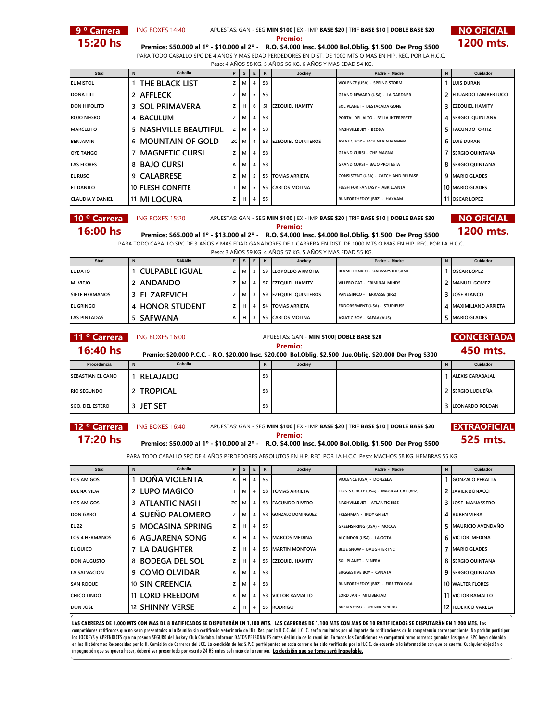

**9 ° Carrera** ING BOXES 14:40 APUESTAS: GAN - SEG **MIN \$100** | EX - IMP **BASE \$20** | TRIF **BASE \$10 | DOBLE BASE \$20 NO OFICIAL** 



**15:20 hs Premios: \$50.000 al 1º - \$10.000 al 2º - R.O. \$4.000 Insc. \$4.000 Bol.Oblig. \$1.500 Der Prog \$500 1200 mts.** PARA TODO CABALLO SPC DE 4 AÑOS Y MAS EDAD PERDEDORES EN DIST. DE 1000 MTS O MAS EN HIP. REC. POR LA H.C.C. Peso: 4 AÑOS 58 KG. 5 AÑOS 56 KG. 6 AÑOS Y MAS EDAD 54 KG.

| Stud                    | $\mathbf N$ | Caballo                       | P  | s | Е              | K  | Jockey                  | Padre - Madre                        | N | Cuidador                 |
|-------------------------|-------------|-------------------------------|----|---|----------------|----|-------------------------|--------------------------------------|---|--------------------------|
| <b>EL MISTOL</b>        |             | <b>THE BLACK LIST</b>         |    | м | 4              | 58 |                         | VIOLENCE (USA) - SPRING STORM        |   | <b>LUIS DURAN</b>        |
| DOÑA LILI               |             | 2 AFFLECK                     |    | м | 5              | 56 |                         | GRAND REWARD (USA) - LA GARDNER      |   | 2 EDUARDO LAMBERTUCCI    |
| <b>DON HIPOLITO</b>     |             | <b>3 SOL PRIMAVERA</b>        |    | н | 6              |    | 51 EZEOUIEL HAMITY      | SOL PLANET - DESTACADA GONE          |   | 3 EZEQUIEL HAMITY        |
| <b>ROJO NEGRO</b>       |             | 4 BACULUM                     |    | м | 4              | 58 |                         | PORTAL DEL ALTO - BELLA INTERPRETE   |   | 4 <b>SERGIO QUINTANA</b> |
| <b>MARCELITO</b>        |             | <b>5 INASHVILLE BEAUTIFUL</b> | z  | м | $\overline{4}$ | 58 |                         | NASHVILLE JET - BEDDA                |   | 5 FACUNDO ORTIZ          |
| <b>BENJAMIN</b>         | 6           | IMOUNTAIN OF GOLD             | ZC | м | 4              |    | 58 EZEQUIEL QUINTEROS   | <b>ASIATIC BOY - MOUNTAIN MAMMA</b>  |   | <b>6 LUIS DURAN</b>      |
| <b>OYE TANGO</b>        |             | IMAGNETIC CURSI               | Z  | м | 4              | 58 |                         | <b>GRAND CURSI - CHE MAGNA</b>       |   | 7 SERGIO QUINTANA        |
| <b>LAS FLORES</b>       |             | 8 BAJO CURSI                  | А  | м | 4              | 58 |                         | <b>GRAND CURSI - BAJO PROTESTA</b>   |   | 8 SERGIO QUINTANA        |
| <b>EL RUSO</b>          |             | 9 CALABRESE                   |    | м | -5             |    | <b>56 TOMAS ARRIETA</b> | CONSISTENT (USA) - CATCH AND RELEASE |   | 9   MARIO GLADES         |
| <b>EL DANILO</b>        |             | 10 FLESH CONFITE              |    | м | 5              |    | 56 CARLOS MOLINA        | FLESH FOR FANTASY - ABRILLANTA       |   | 10 MARIO GLADES          |
| <b>CLAUDIA Y DANIEL</b> |             | 11 MI LOCURA                  |    | н | 4              | 55 |                         | RUNFORTHEDOE (BRZ) - HAYAAM          |   | 11 OSCAR LOPEZ           |

**10 ° Carrera MING BOXES 15:20** APUESTAS: GAN - SEG **MIN \$100** | EX - IMP BASE \$20 | TRIF BASE \$10 | DOBLE BASE \$20 **NO OFICIAL** 

**16:00 hs Premios: \$65.000 al 1º - \$13.000 al 2º -** R.O. \$4.000 Insc. \$4.000 Bol.Oblig. \$1.500 Der Prog \$500 **1200 mts.** PARA TODO CABALLO SPC DE 3 AÑOS Y MAS EDAD GANADORES DE 1 CARRERA EN DIST. DE 1000 MTS O MAS EN HIP. REC. POR LA H.C.C. Peso: 3 AÑOS 59 KG. 4 AÑOS 57 KG. 5 AÑOS Y MAS EDAD 55 KG.

| FESU. JANUJ J7 NJ. 4 ANUJ J7 NJ. JANUJ LIVIAJ LIZALI JJ NJ. |             |                       |   |    |    |   |                       |                               |  |                         |  |  |
|-------------------------------------------------------------|-------------|-----------------------|---|----|----|---|-----------------------|-------------------------------|--|-------------------------|--|--|
| Stud                                                        | $\mathbf N$ | Caballo               | P | s. | E. | K | Jockey                | Padre - Madre                 |  | Cuidador                |  |  |
| <b>EL DATO</b>                                              |             | <b>CULPABLE IGUAL</b> |   | м  |    |   | 59 LEOPOLDO ARMOHA    | BLAMEITONRIO - UALWAYSTHESAME |  | <b>OSCAR LOPEZ</b>      |  |  |
| <b>MI VIEJO</b>                                             |             | 2 ANDANDO             |   | М  |    |   | 57 EZEOUIEL HAMITY    | VILLERO CAT - CRIMINAL MINDS  |  | <b>2 IMANUEL GOMEZ</b>  |  |  |
| <b>SIETE HERMANOS</b>                                       |             | 3 EL ZAREVICH         |   | м  |    |   | 59 EZEQUIEL QUINTEROS | PANEGIRICO - TERRASSE (BRZ)   |  | 3 JOSE BLANCO           |  |  |
| <b>EL GRINGO</b>                                            |             | 4 HONOR STUDENT       |   | н. |    |   | 54 TOMAS ARRIETA      | ENDORSEMENT (USA) - STUDIEUSE |  | 4   MAXIMILIANO ARRIETA |  |  |
| <b>LAS PINTADAS</b>                                         |             | 5 SAFWANA             |   | H  |    |   | 56 CARLOS MOLINA      | ASIATIC BOY - SAFAA (AUS)     |  | 5 IMARIO GLADES         |  |  |

| 11 ° Carrera             |   | ING BOXES 16:00                                                                                              |    | APUESTAS: GAN - MIN \$100  DOBLE BASE \$20 |  | <b>CONCERTADA</b>       |
|--------------------------|---|--------------------------------------------------------------------------------------------------------------|----|--------------------------------------------|--|-------------------------|
| $16:40$ hs               |   | Premio: \$20.000 P.C.C. - R.O. \$20.000 Insc. \$20.000 Bol.Oblig. \$2.500 Jue.Oblig. \$20.000 Der Prog \$300 |    | <b>Premio:</b>                             |  | 450 mts.                |
| Procedencia              | N | Caballo                                                                                                      | ĸ  | Jockey                                     |  | Cuidador                |
| <b>SEBASTIAN EL CANO</b> |   | <b>RELAJADO</b>                                                                                              | 58 |                                            |  | <b>ALEXIS CARABAJAL</b> |
| <b>RIO SEGUNDO</b>       |   | 2 TROPICAL                                                                                                   | 58 |                                            |  | 2 ISERGIO LUDUEÑA       |
| <b>SGO. DEL ESTERO</b>   |   | 3 JET SET                                                                                                    | 58 |                                            |  | 3 LEONARDO ROLDAN       |

**12 º Carrera EXTRAOFICIAL** ING BOXES 16:40 APUESTAS: GAN - SEG **MIN \$100** | EX - IMP **BASE \$20** | TRIF **BASE \$10 | DOBLE BASE \$20 17:20 hs Premios: \$50.000 al 1º - \$10.000 al 2º -** R.O. \$4.000 Insc. \$4.000 Bol.Oblig. \$1.500 Der Prog \$500 **525 mts.** 

PARA TODO CABALLO SPC DE 4 AÑOS PERDEDORES ABSOLUTOS EN HIP. REC. POR LA H.C.C. Peso: MACHOS 58 KG. HEMBRAS 55 KG

| Stud                  | N.             | Caballo                | P. | <b>S</b> | E              | K  | Jockey               | Padre - Madre                           | $\mathsf{N}$ | Cuidador                  |
|-----------------------|----------------|------------------------|----|----------|----------------|----|----------------------|-----------------------------------------|--------------|---------------------------|
| <b>LOS AMIGOS</b>     |                | IDOÑA VIOLENTA         | A  | н        | 4              | 55 |                      | VIOLENCE (USA) - DONZELA                |              | <b>GONZALO PERALTA</b>    |
| <b>BUENA VIDA</b>     | 2 <sup>1</sup> | <b>LUPO MAGICO</b>     |    | м        | 4              |    | 58 TOMAS ARRIETA     | LION'S CIRCLE (USA) - MAGICAL CAT (BRZ) |              | <b>2 JAVIER BONACCI</b>   |
| <b>LOS AMIGOS</b>     | 3              | IATLANTIC NASH         | zc | м        | 4              |    | 58 FACUNDO RIVERO    | NASHVILLE JET - ATLANTIC KISS           | 3.           | <b>JOSE MANASSERO</b>     |
| <b>DON GARO</b>       |                | 4 SUEÑO PALOMERO       | z  | м        | 4              |    | 58 GONZALO DOMINGUEZ | <b>FRESHMAN - INDY GRISLY</b>           |              | 4 RUBEN VIERA             |
| <b>EL 22</b>          | 5              | IMOCASINA SPRING       | z  | н        | $\overline{4}$ | 55 |                      | <b>GREENSPRING (USA) - MOCCA</b>        |              | 5 MAURICIO AVENDAÑO       |
| <b>LOS 4 HERMANOS</b> |                | 6 AGUARENA SONG        | A  | H        | 4              |    | 55 MARCOS MEDINA     | ALCINDOR (USA) - LA GOTA                |              | <b>6 IVICTOR MEDINA</b>   |
| <b>EL QUICO</b>       | 7 <sup>1</sup> | ILA DAUGHTER           |    | н        | 4              |    | 55 MARTIN MONTOYA    | BLUE SNOW - DAUGHTER INC                |              | 7   MARIO GLADES          |
| <b>DON AUGUSTO</b>    | 8              | IBODEGA DEL SOL        |    | н        | 4              |    | 55 EZEQUIEL HAMITY   | <b>SOL PLANET - VINERA</b>              |              | 8 SERGIO QUINTANA         |
| <b>LA SALVACION</b>   |                | 9 COMO OLVIDAR         | A  | м        | 4              | 58 |                      | <b>SUGGESTIVE BOY - CANATA</b>          |              | 9 SERGIO QUINTANA         |
| <b>SAN ROQUE</b>      |                | 10 SIN CREENCIA        |    | M        | 4              | 58 |                      | RUNFORTHEDOE (BRZ) - FIRE TEOLOGA       |              | <b>10 WALTER FLORES</b>   |
| <b>CHICO LINDO</b>    |                | 11 LORD FREEDOM        | A  | м        | 4              |    | 58 VICTOR RAMALLO    | LORD JAN - MI LIBERTAD                  |              | <b>11 IVICTOR RAMALLO</b> |
| <b>DON JOSE</b>       |                | <b>12 SHINNY VERSE</b> | z  | H        | 4              |    | 55 RODRIGO           | <b>BUEN VERSO - SHINNY SPRING</b>       |              | 12 FEDERICO VARELA        |

LAS CARRERAS DE 1.000 MTS CON MAS DE 8 RATIFICADOS SE DISPUTARÁN EN 1.100 MTS. LAS CARRERAS DE 1.100 MTS CON MAS DE 10 RATIFICADOS SE DISPUTARÁN EN 1.200 MTS. Los competidores ratificados que no sean presentados a la Reunión sin certificado veterinario de Hip. Rec. por la H.C.C. del J.C. C. serán multados por el importe de ratificaciónes de la competencia correspondiente. No podrán los JOCKEYS y APRENDICES que no posean SEGURO del Jockey Club Córdoba. Informar DATOS PERSONALES antes del inicio de la revnión. En todas las Condiciones se computará como carreras ganadas las que el SPC haya obtenido<br>en l impugnación que se quiera hacer, deberá ser presentada por escrito 24 HS antes del inicio de la reunión. **La decisión que se tome será Inapelable.**